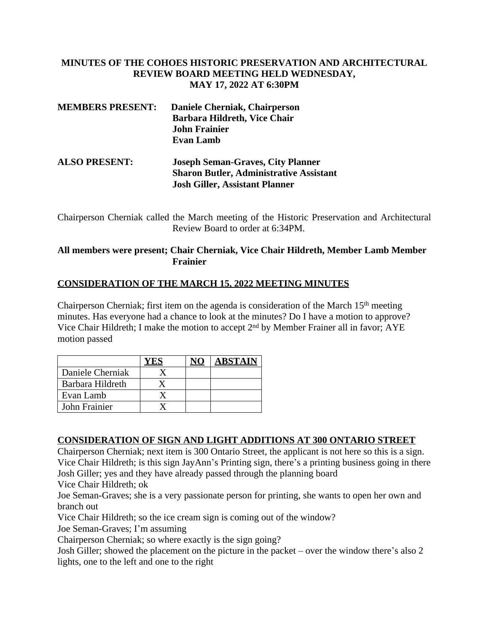## **MINUTES OF THE COHOES HISTORIC PRESERVATION AND ARCHITECTURAL REVIEW BOARD MEETING HELD WEDNESDAY, MAY 17, 2022 AT 6:30PM**

| <b>MEMBERS PRESENT:</b> | Daniele Cherniak, Chairperson<br><b>Barbara Hildreth, Vice Chair</b><br><b>John Frainier</b><br><b>Evan Lamb</b>                    |
|-------------------------|-------------------------------------------------------------------------------------------------------------------------------------|
| <b>ALSO PRESENT:</b>    | <b>Joseph Seman-Graves, City Planner</b><br><b>Sharon Butler, Administrative Assistant</b><br><b>Josh Giller, Assistant Planner</b> |

Chairperson Cherniak called the March meeting of the Historic Preservation and Architectural Review Board to order at 6:34PM.

# **All members were present; Chair Cherniak, Vice Chair Hildreth, Member Lamb Member Frainier**

## **CONSIDERATION OF THE MARCH 15, 2022 MEETING MINUTES**

Chairperson Cherniak; first item on the agenda is consideration of the March  $15<sup>th</sup>$  meeting minutes. Has everyone had a chance to look at the minutes? Do I have a motion to approve? Vice Chair Hildreth; I make the motion to accept 2nd by Member Frainer all in favor; AYE motion passed

|                  |  | ABSTAIN |
|------------------|--|---------|
| Daniele Cherniak |  |         |
| Barbara Hildreth |  |         |
| Evan Lamb        |  |         |
| John Frainier    |  |         |

#### **CONSIDERATION OF SIGN AND LIGHT ADDITIONS AT 300 ONTARIO STREET**

Chairperson Cherniak; next item is 300 Ontario Street, the applicant is not here so this is a sign. Vice Chair Hildreth; is this sign JayAnn's Printing sign, there's a printing business going in there Josh Giller; yes and they have already passed through the planning board

Vice Chair Hildreth; ok

Joe Seman-Graves; she is a very passionate person for printing, she wants to open her own and branch out

Vice Chair Hildreth; so the ice cream sign is coming out of the window?

Joe Seman-Graves; I'm assuming

Chairperson Cherniak; so where exactly is the sign going?

Josh Giller; showed the placement on the picture in the packet – over the window there's also 2 lights, one to the left and one to the right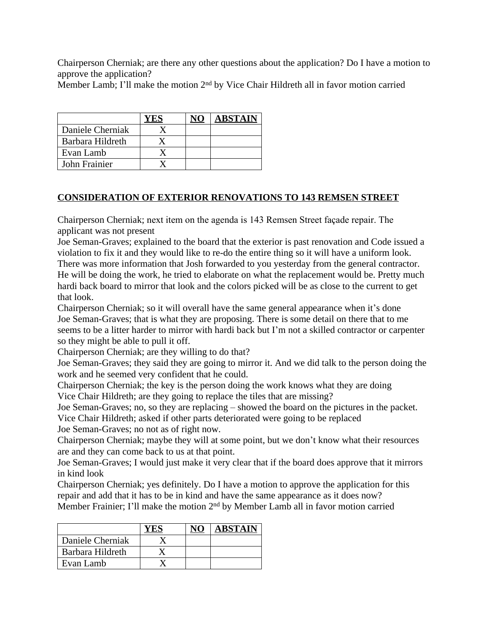Chairperson Cherniak; are there any other questions about the application? Do I have a motion to approve the application?

Member Lamb; I'll make the motion 2<sup>nd</sup> by Vice Chair Hildreth all in favor motion carried

|                  |  | <b>ABSTAIN</b> |
|------------------|--|----------------|
| Daniele Cherniak |  |                |
| Barbara Hildreth |  |                |
| Evan Lamb        |  |                |
| John Frainier    |  |                |

## **CONSIDERATION OF EXTERIOR RENOVATIONS TO 143 REMSEN STREET**

Chairperson Cherniak; next item on the agenda is 143 Remsen Street façade repair. The applicant was not present

Joe Seman-Graves; explained to the board that the exterior is past renovation and Code issued a violation to fix it and they would like to re-do the entire thing so it will have a uniform look. There was more information that Josh forwarded to you yesterday from the general contractor. He will be doing the work, he tried to elaborate on what the replacement would be. Pretty much hardi back board to mirror that look and the colors picked will be as close to the current to get that look.

Chairperson Cherniak; so it will overall have the same general appearance when it's done Joe Seman-Graves; that is what they are proposing. There is some detail on there that to me seems to be a litter harder to mirror with hardi back but I'm not a skilled contractor or carpenter so they might be able to pull it off.

Chairperson Cherniak; are they willing to do that?

Joe Seman-Graves; they said they are going to mirror it. And we did talk to the person doing the work and he seemed very confident that he could.

Chairperson Cherniak; the key is the person doing the work knows what they are doing Vice Chair Hildreth; are they going to replace the tiles that are missing?

Joe Seman-Graves; no, so they are replacing – showed the board on the pictures in the packet. Vice Chair Hildreth; asked if other parts deteriorated were going to be replaced

Joe Seman-Graves; no not as of right now.

Chairperson Cherniak; maybe they will at some point, but we don't know what their resources are and they can come back to us at that point.

Joe Seman-Graves; I would just make it very clear that if the board does approve that it mirrors in kind look

Chairperson Cherniak; yes definitely. Do I have a motion to approve the application for this repair and add that it has to be in kind and have the same appearance as it does now? Member Frainier; I'll make the motion 2nd by Member Lamb all in favor motion carried

|                  |  | <b>ABSTAIN</b> |
|------------------|--|----------------|
| Daniele Cherniak |  |                |
| Barbara Hildreth |  |                |
| Evan Lamb        |  |                |